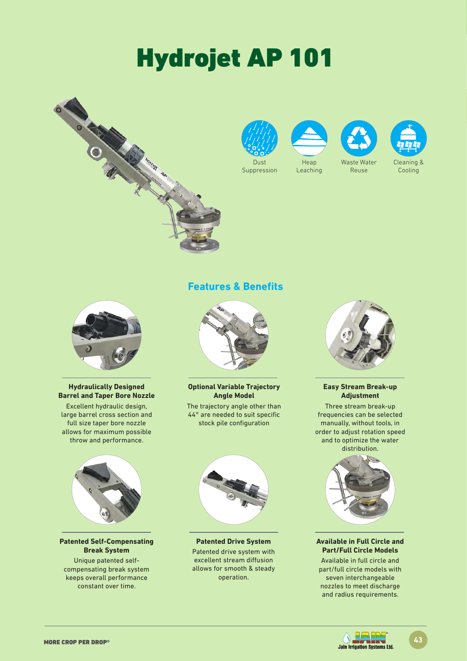# Hydrojet AP 101







**Leaching** 



Reuse



Cooling



#### **Hydraulically Designed Barrel and Taper Bore Nozzle**

Excellent hydraulic design, large barrel cross section and full size taper bore nozzle allows for maximum possible throw and performance.



#### **Patented Self-Compensating Break System**

Unique patented selfcompensating break system keeps overall performance constant over time.

### **Features & Benefits**



**Optional Variable Trajectory Angle Model** 

The trajectory angle other than 44° are needed to suit specific stock pile configuration



**Patented Drive System** Patented drive system with excellent stream diffusion allows for smooth & steady operation.



#### **Easy Stream Break-up Adjustment**

Three stream break-up frequencies can be selected manually, without tools, in order to adjust rotation speed and to optimize the water distribution.



#### **Available in Full Circle and Part/Full Circle Models**

Available in full circle and part/full circle models with seven interchangeable nozzles to meet discharge and radius requirements.